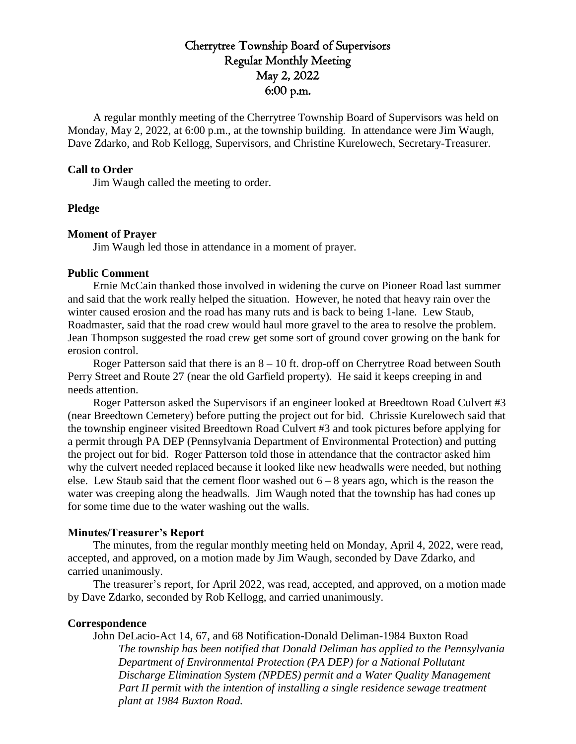# Cherrytree Township Board of Supervisors Regular Monthly Meeting May 2, 2022 6:00 p.m.

A regular monthly meeting of the Cherrytree Township Board of Supervisors was held on Monday, May 2, 2022, at 6:00 p.m., at the township building. In attendance were Jim Waugh, Dave Zdarko, and Rob Kellogg, Supervisors, and Christine Kurelowech, Secretary-Treasurer.

### **Call to Order**

Jim Waugh called the meeting to order.

### **Pledge**

### **Moment of Prayer**

Jim Waugh led those in attendance in a moment of prayer.

### **Public Comment**

Ernie McCain thanked those involved in widening the curve on Pioneer Road last summer and said that the work really helped the situation. However, he noted that heavy rain over the winter caused erosion and the road has many ruts and is back to being 1-lane. Lew Staub, Roadmaster, said that the road crew would haul more gravel to the area to resolve the problem. Jean Thompson suggested the road crew get some sort of ground cover growing on the bank for erosion control.

Roger Patterson said that there is an 8 – 10 ft. drop-off on Cherrytree Road between South Perry Street and Route 27 (near the old Garfield property). He said it keeps creeping in and needs attention.

Roger Patterson asked the Supervisors if an engineer looked at Breedtown Road Culvert #3 (near Breedtown Cemetery) before putting the project out for bid. Chrissie Kurelowech said that the township engineer visited Breedtown Road Culvert #3 and took pictures before applying for a permit through PA DEP (Pennsylvania Department of Environmental Protection) and putting the project out for bid. Roger Patterson told those in attendance that the contractor asked him why the culvert needed replaced because it looked like new headwalls were needed, but nothing else. Lew Staub said that the cement floor washed out  $6 - 8$  years ago, which is the reason the water was creeping along the headwalls. Jim Waugh noted that the township has had cones up for some time due to the water washing out the walls.

### **Minutes/Treasurer's Report**

The minutes, from the regular monthly meeting held on Monday, April 4, 2022, were read, accepted, and approved, on a motion made by Jim Waugh, seconded by Dave Zdarko, and carried unanimously.

The treasurer's report, for April 2022, was read, accepted, and approved, on a motion made by Dave Zdarko, seconded by Rob Kellogg, and carried unanimously.

### **Correspondence**

John DeLacio-Act 14, 67, and 68 Notification-Donald Deliman-1984 Buxton Road *The township has been notified that Donald Deliman has applied to the Pennsylvania Department of Environmental Protection (PA DEP) for a National Pollutant Discharge Elimination System (NPDES) permit and a Water Quality Management*  Part II permit with the intention of installing a single residence sewage treatment *plant at 1984 Buxton Road.*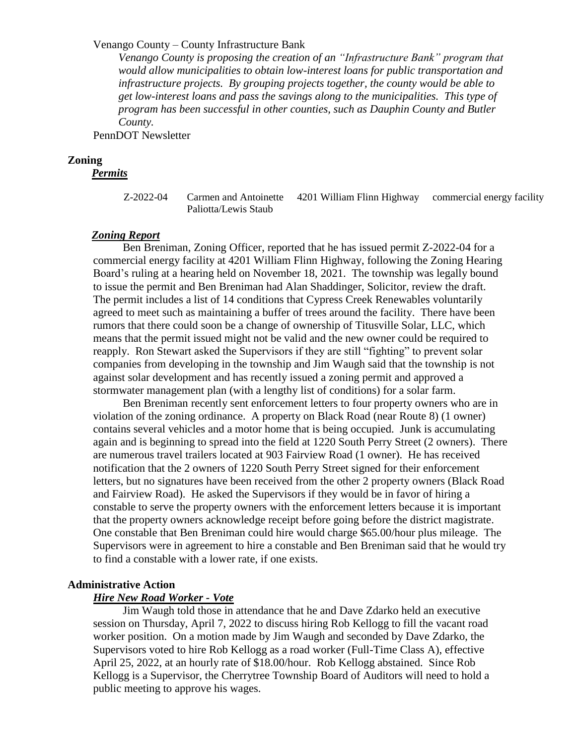### Venango County – County Infrastructure Bank

*Venango County is proposing the creation of an "Infrastructure Bank" program that would allow municipalities to obtain low-interest loans for public transportation and infrastructure projects. By grouping projects together, the county would be able to get low-interest loans and pass the savings along to the municipalities. This type of program has been successful in other counties, such as Dauphin County and Butler County.*

PennDOT Newsletter

### **Zoning**

*Permits*

Z-2022-04 Carmen and Antoinette 4201 William Flinn Highway commercial energy facility Paliotta/Lewis Staub

### *Zoning Report*

Ben Breniman, Zoning Officer, reported that he has issued permit Z-2022-04 for a commercial energy facility at 4201 William Flinn Highway, following the Zoning Hearing Board's ruling at a hearing held on November 18, 2021. The township was legally bound to issue the permit and Ben Breniman had Alan Shaddinger, Solicitor, review the draft. The permit includes a list of 14 conditions that Cypress Creek Renewables voluntarily agreed to meet such as maintaining a buffer of trees around the facility. There have been rumors that there could soon be a change of ownership of Titusville Solar, LLC, which means that the permit issued might not be valid and the new owner could be required to reapply. Ron Stewart asked the Supervisors if they are still "fighting" to prevent solar companies from developing in the township and Jim Waugh said that the township is not against solar development and has recently issued a zoning permit and approved a stormwater management plan (with a lengthy list of conditions) for a solar farm.

Ben Breniman recently sent enforcement letters to four property owners who are in violation of the zoning ordinance. A property on Black Road (near Route 8) (1 owner) contains several vehicles and a motor home that is being occupied. Junk is accumulating again and is beginning to spread into the field at 1220 South Perry Street (2 owners). There are numerous travel trailers located at 903 Fairview Road (1 owner). He has received notification that the 2 owners of 1220 South Perry Street signed for their enforcement letters, but no signatures have been received from the other 2 property owners (Black Road and Fairview Road). He asked the Supervisors if they would be in favor of hiring a constable to serve the property owners with the enforcement letters because it is important that the property owners acknowledge receipt before going before the district magistrate. One constable that Ben Breniman could hire would charge \$65.00/hour plus mileage. The Supervisors were in agreement to hire a constable and Ben Breniman said that he would try to find a constable with a lower rate, if one exists.

### **Administrative Action**

### *Hire New Road Worker - Vote*

Jim Waugh told those in attendance that he and Dave Zdarko held an executive session on Thursday, April 7, 2022 to discuss hiring Rob Kellogg to fill the vacant road worker position. On a motion made by Jim Waugh and seconded by Dave Zdarko, the Supervisors voted to hire Rob Kellogg as a road worker (Full-Time Class A), effective April 25, 2022, at an hourly rate of \$18.00/hour. Rob Kellogg abstained. Since Rob Kellogg is a Supervisor, the Cherrytree Township Board of Auditors will need to hold a public meeting to approve his wages.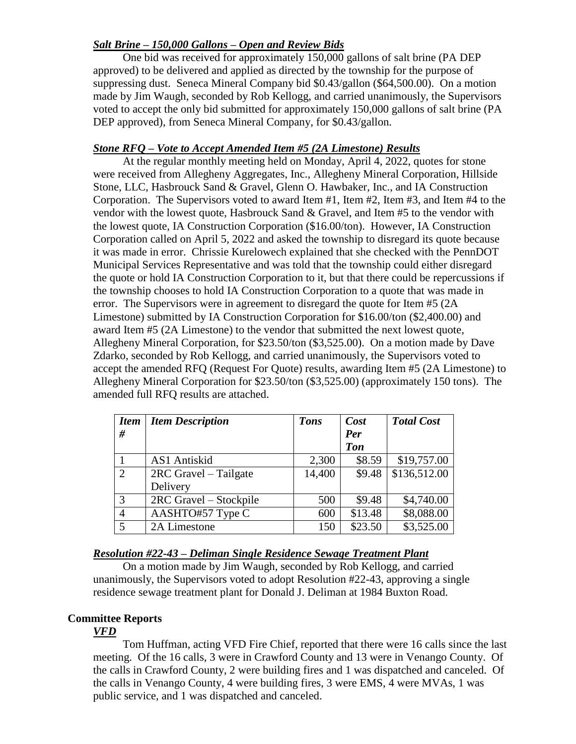## *Salt Brine – 150,000 Gallons – Open and Review Bids*

One bid was received for approximately 150,000 gallons of salt brine (PA DEP approved) to be delivered and applied as directed by the township for the purpose of suppressing dust. Seneca Mineral Company bid \$0.43/gallon (\$64,500.00). On a motion made by Jim Waugh, seconded by Rob Kellogg, and carried unanimously, the Supervisors voted to accept the only bid submitted for approximately 150,000 gallons of salt brine (PA DEP approved), from Seneca Mineral Company, for \$0.43/gallon.

## *Stone RFQ – Vote to Accept Amended Item #5 (2A Limestone) Results*

At the regular monthly meeting held on Monday, April 4, 2022, quotes for stone were received from Allegheny Aggregates, Inc., Allegheny Mineral Corporation, Hillside Stone, LLC, Hasbrouck Sand & Gravel, Glenn O. Hawbaker, Inc., and IA Construction Corporation. The Supervisors voted to award Item #1, Item #2, Item #3, and Item #4 to the vendor with the lowest quote, Hasbrouck Sand & Gravel, and Item #5 to the vendor with the lowest quote, IA Construction Corporation (\$16.00/ton). However, IA Construction Corporation called on April 5, 2022 and asked the township to disregard its quote because it was made in error. Chrissie Kurelowech explained that she checked with the PennDOT Municipal Services Representative and was told that the township could either disregard the quote or hold IA Construction Corporation to it, but that there could be repercussions if the township chooses to hold IA Construction Corporation to a quote that was made in error. The Supervisors were in agreement to disregard the quote for Item #5 (2A Limestone) submitted by IA Construction Corporation for \$16.00/ton (\$2,400.00) and award Item #5 (2A Limestone) to the vendor that submitted the next lowest quote, Allegheny Mineral Corporation, for \$23.50/ton (\$3,525.00). On a motion made by Dave Zdarko, seconded by Rob Kellogg, and carried unanimously, the Supervisors voted to accept the amended RFQ (Request For Quote) results, awarding Item #5 (2A Limestone) to Allegheny Mineral Corporation for \$23.50/ton (\$3,525.00) (approximately 150 tons). The amended full RFQ results are attached.

| <b>Item</b>    | <b>Item Description</b> | <b>Tons</b> | Cost       | <b>Total Cost</b> |
|----------------|-------------------------|-------------|------------|-------------------|
| #              |                         |             | Per        |                   |
|                |                         |             | <b>Ton</b> |                   |
|                | AS1 Antiskid            | 2,300       | \$8.59     | \$19,757.00       |
| 2              | 2RC Gravel – Tailgate   | 14,400      | \$9.48     | \$136,512.00      |
|                | Delivery                |             |            |                   |
| 3              | 2RC Gravel - Stockpile  | 500         | \$9.48     | \$4,740.00        |
| $\overline{4}$ | AASHTO#57 Type C        | 600         | \$13.48    | \$8,088.00        |
| 5              | 2A Limestone            | 150         | \$23.50    | \$3,525.00        |

## *Resolution #22-43 – Deliman Single Residence Sewage Treatment Plant*

On a motion made by Jim Waugh, seconded by Rob Kellogg, and carried unanimously, the Supervisors voted to adopt Resolution #22-43, approving a single residence sewage treatment plant for Donald J. Deliman at 1984 Buxton Road.

## **Committee Reports**

## *VFD*

Tom Huffman, acting VFD Fire Chief, reported that there were 16 calls since the last meeting. Of the 16 calls, 3 were in Crawford County and 13 were in Venango County. Of the calls in Crawford County, 2 were building fires and 1 was dispatched and canceled. Of the calls in Venango County, 4 were building fires, 3 were EMS, 4 were MVAs, 1 was public service, and 1 was dispatched and canceled.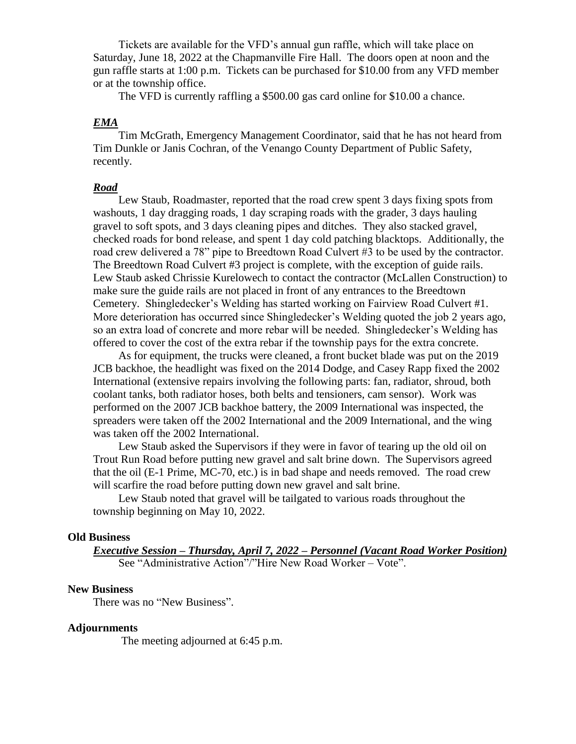Tickets are available for the VFD's annual gun raffle, which will take place on Saturday, June 18, 2022 at the Chapmanville Fire Hall. The doors open at noon and the gun raffle starts at 1:00 p.m. Tickets can be purchased for \$10.00 from any VFD member or at the township office.

The VFD is currently raffling a \$500.00 gas card online for \$10.00 a chance.

### *EMA*

Tim McGrath, Emergency Management Coordinator, said that he has not heard from Tim Dunkle or Janis Cochran, of the Venango County Department of Public Safety, recently.

## *Road*

Lew Staub, Roadmaster, reported that the road crew spent 3 days fixing spots from washouts, 1 day dragging roads, 1 day scraping roads with the grader, 3 days hauling gravel to soft spots, and 3 days cleaning pipes and ditches. They also stacked gravel, checked roads for bond release, and spent 1 day cold patching blacktops. Additionally, the road crew delivered a 78" pipe to Breedtown Road Culvert #3 to be used by the contractor. The Breedtown Road Culvert #3 project is complete, with the exception of guide rails. Lew Staub asked Chrissie Kurelowech to contact the contractor (McLallen Construction) to make sure the guide rails are not placed in front of any entrances to the Breedtown Cemetery. Shingledecker's Welding has started working on Fairview Road Culvert #1. More deterioration has occurred since Shingledecker's Welding quoted the job 2 years ago, so an extra load of concrete and more rebar will be needed. Shingledecker's Welding has offered to cover the cost of the extra rebar if the township pays for the extra concrete.

As for equipment, the trucks were cleaned, a front bucket blade was put on the 2019 JCB backhoe, the headlight was fixed on the 2014 Dodge, and Casey Rapp fixed the 2002 International (extensive repairs involving the following parts: fan, radiator, shroud, both coolant tanks, both radiator hoses, both belts and tensioners, cam sensor). Work was performed on the 2007 JCB backhoe battery, the 2009 International was inspected, the spreaders were taken off the 2002 International and the 2009 International, and the wing was taken off the 2002 International.

Lew Staub asked the Supervisors if they were in favor of tearing up the old oil on Trout Run Road before putting new gravel and salt brine down. The Supervisors agreed that the oil (E-1 Prime, MC-70, etc.) is in bad shape and needs removed. The road crew will scarfire the road before putting down new gravel and salt brine.

Lew Staub noted that gravel will be tailgated to various roads throughout the township beginning on May 10, 2022.

### **Old Business**

*Executive Session – Thursday, April 7, 2022 – Personnel (Vacant Road Worker Position)*  See "Administrative Action"/"Hire New Road Worker – Vote".

#### **New Business**

There was no "New Business".

#### **Adjournments**

The meeting adjourned at 6:45 p.m.